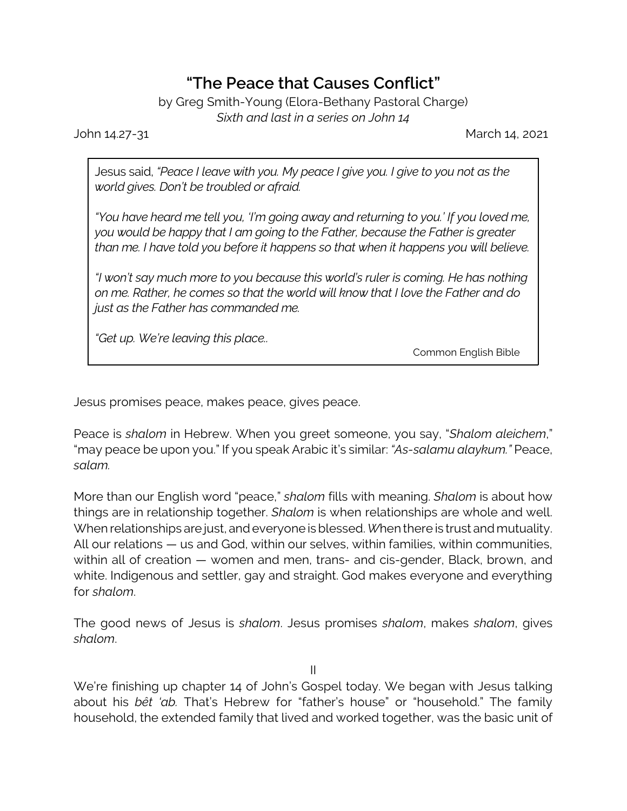## **"The Peace that Causes Conflict"**

by Greg Smith-Young (Elora-Bethany Pastoral Charge) *Sixth and last in a series on John 14*

John 14.27-31 March 14, 2021

Jesus said, *"Peace I leave with you. My peace I give you. I give to you not as the world gives. Don't be troubled or afraid.*

*"You have heard me tell you, 'I'm going away and returning to you.' If you loved me, you would be happy that I am going to the Father, because the Father is greater than me. I have told you before it happens so that when it happens you will believe.*

*"I won't say much more to you because this world's ruler is coming. He has nothing on me. Rather, he comes so that the world will know that I love the Father and do just as the Father has commanded me.*

*"Get up. We're leaving this place..*

Common English Bible

Jesus promises peace, makes peace, gives peace.

Peace is *shalom* in Hebrew. When you greet someone, you say, "*Shalom aleichem*," "may peace be upon you." If you speak Arabic it's similar: *"As-salamu alaykum."* Peace, *salam.*

More than our English word "peace," *shalom* fills with meaning. *Shalom* is about how things are in relationship together. *Shalom* is when relationships are whole and well. When relationships are just, and everyone is blessed. *W*hen there is trust and mutuality. All our relations — us and God, within our selves, within families, within communities, within all of creation — women and men, trans- and cis-gender, Black, brown, and white. Indigenous and settler, gay and straight. God makes everyone and everything for *shalom*.

The good news of Jesus is *shalom*. Jesus promises *shalom*, makes *shalom*, gives *shalom*.

We're finishing up chapter 14 of John's Gospel today. We began with Jesus talking about his *bêt 'ab.* That's Hebrew for "father's house" or "household." The family household, the extended family that lived and worked together, was the basic unit of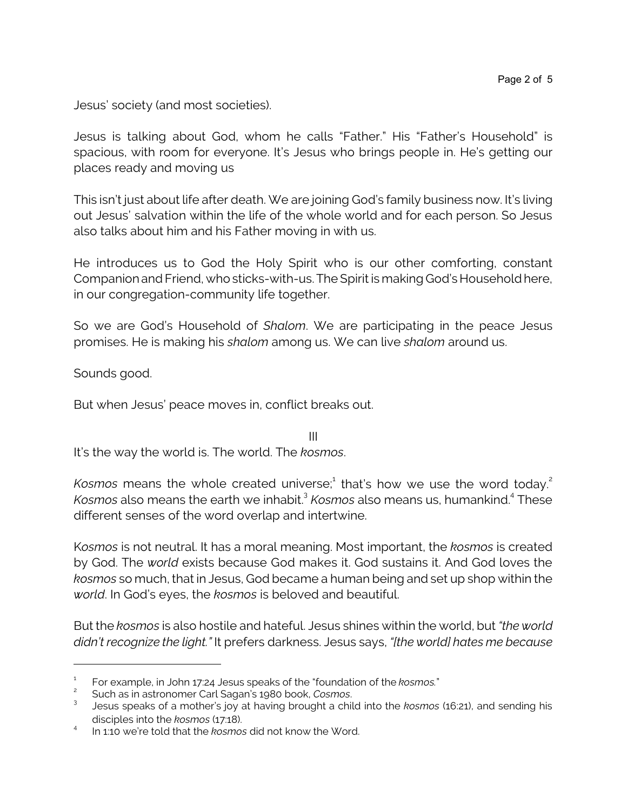Jesus' society (and most societies).

Jesus is talking about God, whom he calls "Father." His "Father's Household" is spacious, with room for everyone. It's Jesus who brings people in. He's getting our places ready and moving us

This isn't just about life after death. We are joining God's family business now. It's living out Jesus' salvation within the life of the whole world and for each person. So Jesus also talks about him and his Father moving in with us.

He introduces us to God the Holy Spirit who is our other comforting, constant Companion and Friend, who sticks-with-us. The Spirit is making God's Household here, in our congregation-community life together.

So we are God's Household of *Shalom*. We are participating in the peace Jesus promises. He is making his *shalom* among us. We can live *shalom* around us.

Sounds good.

But when Jesus' peace moves in, conflict breaks out.

III

It's the way the world is. The world. The *kosmos*.

Kosmos means the whole created universe; $^1$  that's how we use the word today.<sup>2</sup> Kosmos also means the earth we inhabit.<sup>3</sup> Kosmos also means us, humankind.<sup>4</sup> These different senses of the word overlap and intertwine.

K*osmos* is not neutral. It has a moral meaning. Most important, the *kosmos* is created by God. The *world* exists because God makes it. God sustains it. And God loves the *kosmos* so much, that in Jesus, God became a human being and set up shop within the *world*. In God's eyes, the *kosmos* is beloved and beautiful.

But the *kosmos* is also hostile and hateful. Jesus shines within the world, but *"the world didn't recognize the light."* It prefers darkness. Jesus says, *"[the world] hates me because*

<sup>1</sup> For example, in John 17:24 Jesus speaks of the "foundation of the *kosmos.*"

<sup>2</sup> Such as in astronomer Carl Sagan's 1980 book, *Cosmos*.

<sup>3</sup> Jesus speaks of a mother's joy at having brought a child into the *kosmos* (16:21), and sending his disciples into the *kosmos* (17:18).

<sup>4</sup> In 1:10 we're told that the *kosmos* did not know the Word.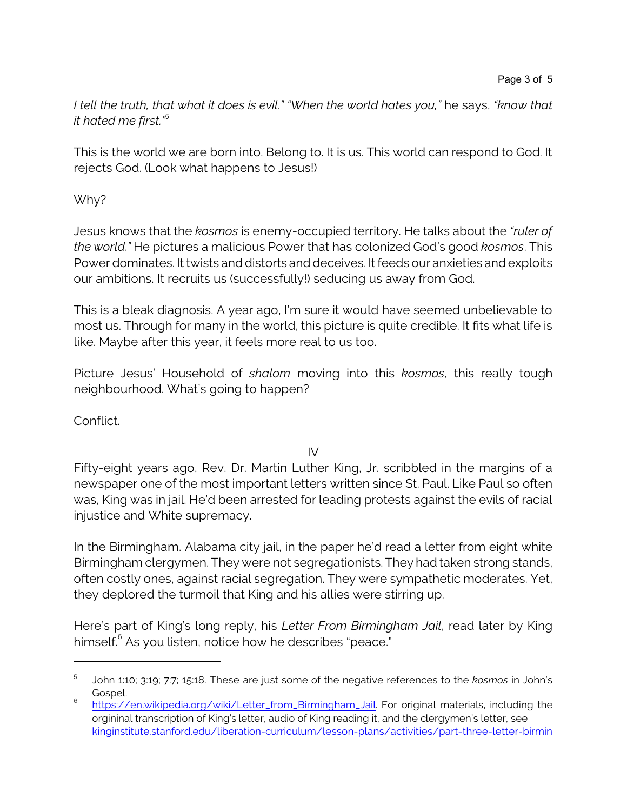*I tell the truth, that what it does is evil." "When the world hates you,"* he says, *"know that it hated me first."*<sup>5</sup>

This is the world we are born into. Belong to. It is us. This world can respond to God. It rejects God. (Look what happens to Jesus!)

Why?

Jesus knows that the *kosmos* is enemy-occupied territory. He talks about the *"ruler of the world."* He pictures a malicious Power that has colonized God's good *kosmos*. This Power dominates. It twists and distorts and deceives. It feeds our anxieties and exploits our ambitions. It recruits us (successfully!) seducing us away from God.

This is a bleak diagnosis. A year ago, I'm sure it would have seemed unbelievable to most us. Through for many in the world, this picture is quite credible. It fits what life is like. Maybe after this year, it feels more real to us too.

Picture Jesus' Household of *shalom* moving into this *kosmos*, this really tough neighbourhood. What's going to happen?

Conflict.

IV

Fifty-eight years ago, Rev. Dr. Martin Luther King, Jr. scribbled in the margins of a newspaper one of the most important letters written since St. Paul. Like Paul so often was, King was in jail. He'd been arrested for leading protests against the evils of racial injustice and White supremacy.

In the Birmingham. Alabama city jail, in the paper he'd read a letter from eight white Birmingham clergymen. They were not segregationists. They had taken strong stands, often costly ones, against racial segregation. They were sympathetic moderates. Yet, they deplored the turmoil that King and his allies were stirring up.

Here's part of King's long reply, his *Letter From Birmingham Jail*, read later by King himself.<sup>6</sup> As you listen, notice how he describes "peace."

<sup>5</sup> John 1:10; 3:19; 7:7; 15:18. These are just some of the negative references to the *kosmos* in John's Gospel.

<sup>6</sup> [https://en.wikipedia.org/wiki/Letter\\_from\\_Birmingham\\_Jail](https://en.wikipedia.org/wiki/Letter_from_Birmingham_Jail). For original materials, including the orgininal transcription of King's letter, audio of King reading it, and the clergymen's letter, see [kinginstitute.stanford.edu/liberation-curriculum/lesson-plans/activities/part-three-letter-birmin](https://kinginstitute.stanford.edu/liberation-curriculum/lesson-plans/activities/part-three-letter-birmingham-jail)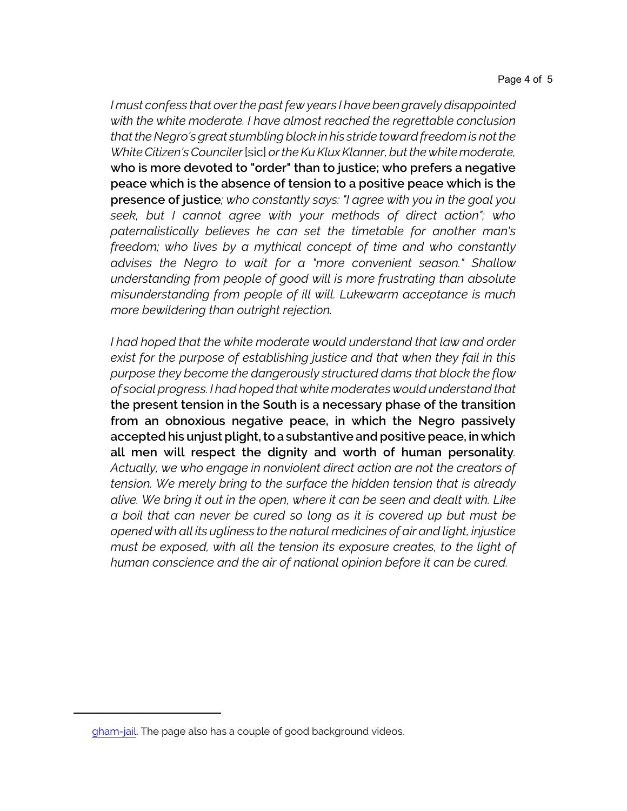*I must confess that over the past few years I have been gravely disappointed with the white moderate. I have almost reached the regrettable conclusion that the Negro's great stumbling block in his stride toward freedom is not the White Citizen's Counciler* [sic] *or the Ku KluxKlanner, but the white moderate, who is more devoted to "order" than to justice; who prefers a negative peace which is the absence of tension to a positive peace which is the presence of justice; who constantly says: "I agree with you in the goal you seek, but I cannot agree with your methods of direct action"; who paternalistically believes he can set the timetable for another man's freedom; who lives by a mythical concept of time and who constantly advises the Negro to wait for a "more convenient season." Shallow understanding from people of good will is more frustrating than absolute misunderstanding from people of ill will. Lukewarm acceptance is much more bewildering than outright rejection.*

*I had hoped that the white moderate would understand that law and order exist for the purpose of establishing justice and that when they fail in this purpose they become the dangerously structured dams that block the flow of social progress. I had hoped that white moderates would understand that the present tension in the South is a necessary phase of the transition from an obnoxious negative peace, in which the Negro passively accepted his unjust plight, to a substantive and positive peace, in which all men will respect the dignity and worth of human personality. Actually, we who engage in nonviolent direct action are not the creators of tension. We merely bring to the surface the hidden tension that is already alive. We bring it out in the open, where it can be seen and dealt with. Like a boil that can never be cured so long as it is covered up but must be opened with all its ugliness to the natural medicines of air and light, injustice must be exposed, with all the tension its exposure creates, to the light of human conscience and the air of national opinion before it can be cured.*

gham-jail. The page also has a couple of good background videos.